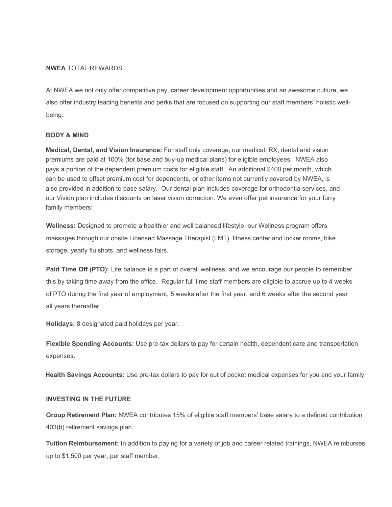# **NWEA** TOTAL REWARDS

At NWEA we not only offer competitive pay, career development opportunities and an awesome culture, we also offer industry leading benefits and perks that are focused on supporting our staff members' holistic wellbeing.

### **BODY & MIND**

**Medical, Dental, and Vision Insurance:** For staff only coverage, our medical, RX, dental and vision premiums are paid at 100% (for base and buy-up medical plans) for eligible employees. NWEA also pays a portion of the dependent premium costs for eligible staff. An additional \$400 per month, which can be used to offset premium cost for dependents, or other items not currently covered by NWEA, is also provided in addition to base salary. Our dental plan includes coverage for orthodontia services, and our Vision plan includes discounts on laser vision correction. We even offer pet insurance for your furry family members!

**Wellness:** Designed to promote a healthier and well balanced lifestyle, our Wellness program offers massages through our onsite Licensed Massage Therapist (LMT), fitness center and locker rooms, bike storage, yearly flu shots, and wellness fairs.

**Paid Time Off (PTO):** Life balance is a part of overall wellness, and we encourage our people to remember this by taking time away from the office. Regular full time staff members are eligible to accrue up to 4 weeks of PTO during the first year of employment, 5 weeks after the first year, and 6 weeks after the second year all years thereafter.

**Holidays:** 8 designated paid holidays per year.

**Flexible Spending Accounts:** Use pre-tax dollars to pay for certain health, dependent care and transportation expenses.

**Health Savings Accounts:** Use pre-tax dollars to pay for out of pocket medical expenses for you and your family.

#### **INVESTING IN THE FUTURE**

**Group Retirement Plan:** NWEA contributes 15% of eligible staff members' base salary to a defined contribution 403(b) retirement savings plan.

**Tuition Reimbursement:** In addition to paying for a variety of job and career related trainings, NWEA reimburses up to \$1,500 per year, per staff member.